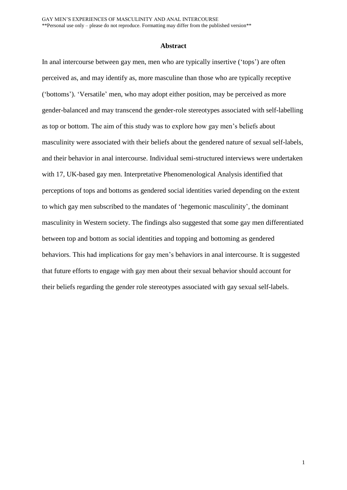#### **Abstract**

In anal intercourse between gay men, men who are typically insertive ('tops') are often perceived as, and may identify as, more masculine than those who are typically receptive ('bottoms'). 'Versatile' men, who may adopt either position, may be perceived as more gender-balanced and may transcend the gender-role stereotypes associated with self-labelling as top or bottom. The aim of this study was to explore how gay men's beliefs about masculinity were associated with their beliefs about the gendered nature of sexual self-labels, and their behavior in anal intercourse. Individual semi-structured interviews were undertaken with 17, UK-based gay men. Interpretative Phenomenological Analysis identified that perceptions of tops and bottoms as gendered social identities varied depending on the extent to which gay men subscribed to the mandates of 'hegemonic masculinity', the dominant masculinity in Western society. The findings also suggested that some gay men differentiated between top and bottom as social identities and topping and bottoming as gendered behaviors. This had implications for gay men's behaviors in anal intercourse. It is suggested that future efforts to engage with gay men about their sexual behavior should account for their beliefs regarding the gender role stereotypes associated with gay sexual self-labels.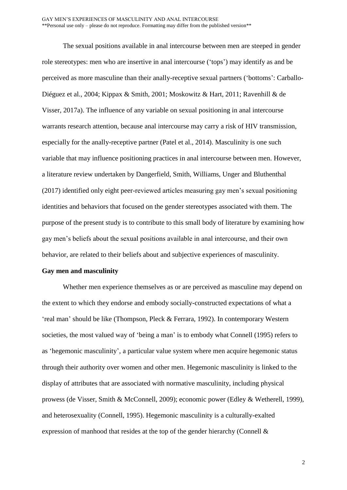The sexual positions available in anal intercourse between men are steeped in gender role stereotypes: men who are insertive in anal intercourse ('tops') may identify as and be perceived as more masculine than their anally-receptive sexual partners ('bottoms': Carballo-Diéguez et al., 2004; Kippax & Smith, 2001; Moskowitz & Hart, 2011; Ravenhill & de Visser, 2017a). The influence of any variable on sexual positioning in anal intercourse warrants research attention, because anal intercourse may carry a risk of HIV transmission, especially for the anally-receptive partner (Patel et al., 2014). Masculinity is one such variable that may influence positioning practices in anal intercourse between men. However, a literature review undertaken by Dangerfield, Smith, Williams, Unger and Bluthenthal (2017) identified only eight peer-reviewed articles measuring gay men's sexual positioning identities and behaviors that focused on the gender stereotypes associated with them. The purpose of the present study is to contribute to this small body of literature by examining how gay men's beliefs about the sexual positions available in anal intercourse, and their own behavior, are related to their beliefs about and subjective experiences of masculinity.

#### **Gay men and masculinity**

Whether men experience themselves as or are perceived as masculine may depend on the extent to which they endorse and embody socially-constructed expectations of what a 'real man' should be like (Thompson, Pleck & Ferrara, 1992). In contemporary Western societies, the most valued way of 'being a man' is to embody what Connell (1995) refers to as 'hegemonic masculinity', a particular value system where men acquire hegemonic status through their authority over women and other men. Hegemonic masculinity is linked to the display of attributes that are associated with normative masculinity, including physical prowess (de Visser, Smith & McConnell, 2009); economic power (Edley & Wetherell, 1999), and heterosexuality (Connell, 1995). Hegemonic masculinity is a culturally-exalted expression of manhood that resides at the top of the gender hierarchy (Connell &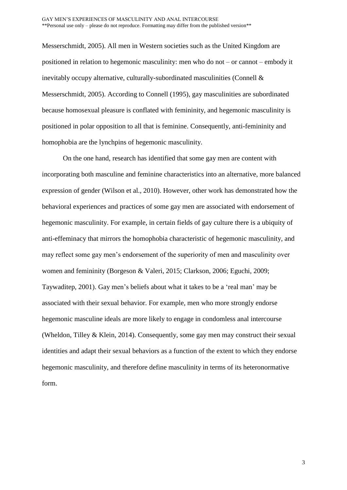Messerschmidt, 2005). All men in Western societies such as the United Kingdom are positioned in relation to hegemonic masculinity: men who do not – or cannot – embody it inevitably occupy alternative, culturally-subordinated masculinities (Connell & Messerschmidt, 2005). According to Connell (1995), gay masculinities are subordinated because homosexual pleasure is conflated with femininity, and hegemonic masculinity is positioned in polar opposition to all that is feminine. Consequently, anti-femininity and homophobia are the lynchpins of hegemonic masculinity.

On the one hand, research has identified that some gay men are content with incorporating both masculine and feminine characteristics into an alternative, more balanced expression of gender (Wilson et al., 2010). However, other work has demonstrated how the behavioral experiences and practices of some gay men are associated with endorsement of hegemonic masculinity. For example, in certain fields of gay culture there is a ubiquity of anti-effeminacy that mirrors the homophobia characteristic of hegemonic masculinity, and may reflect some gay men's endorsement of the superiority of men and masculinity over women and femininity (Borgeson & Valeri, 2015; Clarkson, 2006; Eguchi, 2009; Taywaditep, 2001). Gay men's beliefs about what it takes to be a 'real man' may be associated with their sexual behavior. For example, men who more strongly endorse hegemonic masculine ideals are more likely to engage in condomless anal intercourse (Wheldon, Tilley & Klein, 2014). Consequently, some gay men may construct their sexual identities and adapt their sexual behaviors as a function of the extent to which they endorse hegemonic masculinity, and therefore define masculinity in terms of its heteronormative form.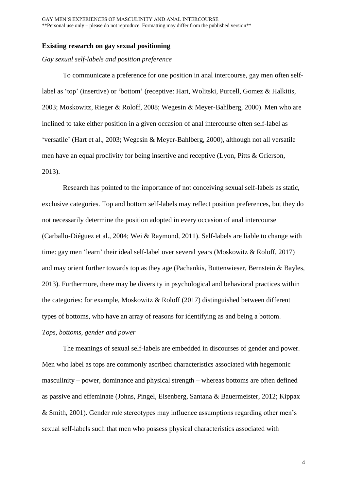# **Existing research on gay sexual positioning**

## *Gay sexual self-labels and position preference*

To communicate a preference for one position in anal intercourse, gay men often selflabel as 'top' (insertive) or 'bottom' (receptive: Hart, Wolitski, Purcell, Gomez & Halkitis, 2003; Moskowitz, Rieger & Roloff, 2008; Wegesin & Meyer-Bahlberg, 2000). Men who are inclined to take either position in a given occasion of anal intercourse often self-label as 'versatile' (Hart et al., 2003; Wegesin & Meyer-Bahlberg, 2000), although not all versatile men have an equal proclivity for being insertive and receptive (Lyon, Pitts & Grierson, 2013).

Research has pointed to the importance of not conceiving sexual self-labels as static, exclusive categories. Top and bottom self-labels may reflect position preferences, but they do not necessarily determine the position adopted in every occasion of anal intercourse (Carballo-Diéguez et al., 2004; Wei & Raymond, 2011). Self-labels are liable to change with time: gay men 'learn' their ideal self-label over several years (Moskowitz & Roloff, 2017) and may orient further towards top as they age (Pachankis, Buttenwieser, Bernstein & Bayles, 2013). Furthermore, there may be diversity in psychological and behavioral practices within the categories: for example, Moskowitz & Roloff (2017) distinguished between different types of bottoms, who have an array of reasons for identifying as and being a bottom. *Tops, bottoms, gender and power*

The meanings of sexual self-labels are embedded in discourses of gender and power. Men who label as tops are commonly ascribed characteristics associated with hegemonic masculinity – power, dominance and physical strength – whereas bottoms are often defined as passive and effeminate (Johns, Pingel, Eisenberg, Santana & Bauermeister, 2012; Kippax & Smith, 2001). Gender role stereotypes may influence assumptions regarding other men's sexual self-labels such that men who possess physical characteristics associated with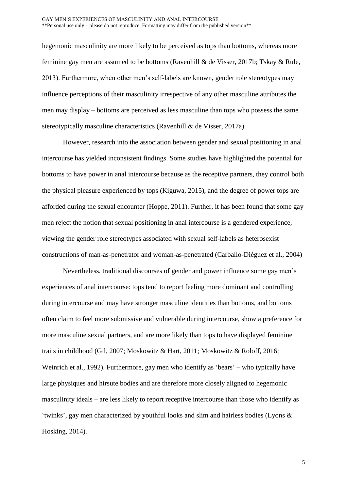hegemonic masculinity are more likely to be perceived as tops than bottoms, whereas more feminine gay men are assumed to be bottoms (Ravenhill & de Visser, 2017b; Tskay & Rule, 2013). Furthermore, when other men's self-labels are known, gender role stereotypes may influence perceptions of their masculinity irrespective of any other masculine attributes the men may display – bottoms are perceived as less masculine than tops who possess the same stereotypically masculine characteristics (Ravenhill & de Visser, 2017a).

However, research into the association between gender and sexual positioning in anal intercourse has yielded inconsistent findings. Some studies have highlighted the potential for bottoms to have power in anal intercourse because as the receptive partners, they control both the physical pleasure experienced by tops (Kiguwa, 2015), and the degree of power tops are afforded during the sexual encounter (Hoppe, 2011). Further, it has been found that some gay men reject the notion that sexual positioning in anal intercourse is a gendered experience, viewing the gender role stereotypes associated with sexual self-labels as heterosexist constructions of man-as-penetrator and woman-as-penetrated (Carballo-Diéguez et al., 2004)

Nevertheless, traditional discourses of gender and power influence some gay men's experiences of anal intercourse: tops tend to report feeling more dominant and controlling during intercourse and may have stronger masculine identities than bottoms, and bottoms often claim to feel more submissive and vulnerable during intercourse, show a preference for more masculine sexual partners, and are more likely than tops to have displayed feminine traits in childhood (Gil, 2007; Moskowitz & Hart, 2011; Moskowitz & Roloff, 2016; Weinrich et al., 1992). Furthermore, gay men who identify as 'bears' – who typically have large physiques and hirsute bodies and are therefore more closely aligned to hegemonic masculinity ideals – are less likely to report receptive intercourse than those who identify as 'twinks', gay men characterized by youthful looks and slim and hairless bodies (Lyons & Hosking, 2014).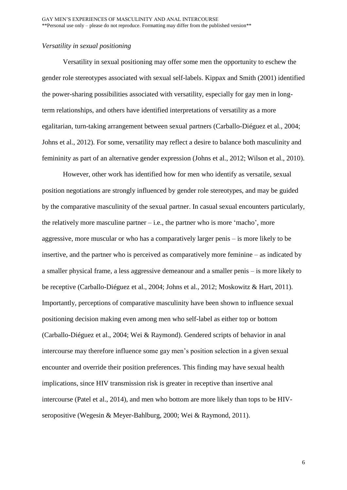## *Versatility in sexual positioning*

Versatility in sexual positioning may offer some men the opportunity to eschew the gender role stereotypes associated with sexual self-labels. Kippax and Smith (2001) identified the power-sharing possibilities associated with versatility, especially for gay men in longterm relationships, and others have identified interpretations of versatility as a more egalitarian, turn-taking arrangement between sexual partners (Carballo-Diéguez et al., 2004; Johns et al., 2012). For some, versatility may reflect a desire to balance both masculinity and femininity as part of an alternative gender expression (Johns et al., 2012; Wilson et al., 2010).

However, other work has identified how for men who identify as versatile, sexual position negotiations are strongly influenced by gender role stereotypes, and may be guided by the comparative masculinity of the sexual partner. In casual sexual encounters particularly, the relatively more masculine partner  $-i.e.,$  the partner who is more 'macho', more aggressive, more muscular or who has a comparatively larger penis – is more likely to be insertive, and the partner who is perceived as comparatively more feminine – as indicated by a smaller physical frame, a less aggressive demeanour and a smaller penis – is more likely to be receptive (Carballo-Diéguez et al., 2004; Johns et al., 2012; Moskowitz & Hart, 2011). Importantly, perceptions of comparative masculinity have been shown to influence sexual positioning decision making even among men who self-label as either top or bottom (Carballo-Diéguez et al., 2004; Wei & Raymond). Gendered scripts of behavior in anal intercourse may therefore influence some gay men's position selection in a given sexual encounter and override their position preferences. This finding may have sexual health implications, since HIV transmission risk is greater in receptive than insertive anal intercourse (Patel et al., 2014), and men who bottom are more likely than tops to be HIVseropositive (Wegesin & Meyer-Bahlburg, 2000; Wei & Raymond, 2011).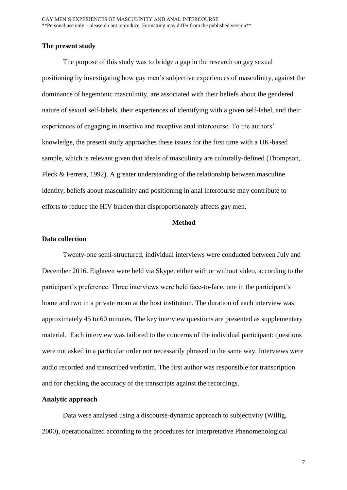## **The present study**

The purpose of this study was to bridge a gap in the research on gay sexual positioning by investigating how gay men's subjective experiences of masculinity, against the dominance of hegemonic masculinity, are associated with their beliefs about the gendered nature of sexual self-labels, their experiences of identifying with a given self-label, and their experiences of engaging in insertive and receptive anal intercourse. To the authors' knowledge, the present study approaches these issues for the first time with a UK-based sample, which is relevant given that ideals of masculinity are culturally-defined (Thompson, Pleck & Ferrera, 1992). A greater understanding of the relationship between masculine identity, beliefs about masculinity and positioning in anal intercourse may contribute to efforts to reduce the HIV burden that disproportionately affects gay men.

# **Method**

## **Data collection**

Twenty-one semi-structured, individual interviews were conducted between July and December 2016. Eighteen were held via Skype, either with or without video, according to the participant's preference. Three interviews were held face-to-face, one in the participant's home and two in a private room at the host institution. The duration of each interview was approximately 45 to 60 minutes. The key interview questions are presented as supplementary material. Each interview was tailored to the concerns of the individual participant: questions were not asked in a particular order nor necessarily phrased in the same way. Interviews were audio recorded and transcribed verbatim. The first author was responsible for transcription and for checking the accuracy of the transcripts against the recordings.

# **Analytic approach**

Data were analysed using a discourse-dynamic approach to subjectivity (Willig, 2000), operationalized according to the procedures for Interpretative Phenomenological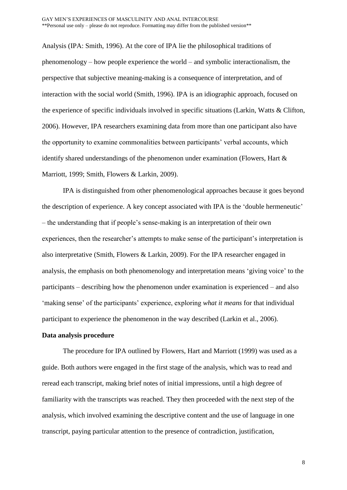Analysis (IPA: Smith, 1996). At the core of IPA lie the philosophical traditions of phenomenology – how people experience the world – and symbolic interactionalism, the perspective that subjective meaning-making is a consequence of interpretation, and of interaction with the social world (Smith, 1996). IPA is an idiographic approach, focused on the experience of specific individuals involved in specific situations (Larkin, Watts & Clifton, 2006). However, IPA researchers examining data from more than one participant also have the opportunity to examine commonalities between participants' verbal accounts, which identify shared understandings of the phenomenon under examination (Flowers, Hart & Marriott, 1999; Smith, Flowers & Larkin, 2009).

IPA is distinguished from other phenomenological approaches because it goes beyond the description of experience. A key concept associated with IPA is the 'double hermeneutic' – the understanding that if people's sense-making is an interpretation of their own experiences, then the researcher's attempts to make sense of the participant's interpretation is also interpretative (Smith, Flowers & Larkin, 2009). For the IPA researcher engaged in analysis, the emphasis on both phenomenology and interpretation means 'giving voice' to the participants – describing how the phenomenon under examination is experienced – and also 'making sense' of the participants' experience, exploring *what it means* for that individual participant to experience the phenomenon in the way described (Larkin et al., 2006).

## **Data analysis procedure**

The procedure for IPA outlined by Flowers, Hart and Marriott (1999) was used as a guide. Both authors were engaged in the first stage of the analysis, which was to read and reread each transcript, making brief notes of initial impressions, until a high degree of familiarity with the transcripts was reached. They then proceeded with the next step of the analysis, which involved examining the descriptive content and the use of language in one transcript, paying particular attention to the presence of contradiction, justification,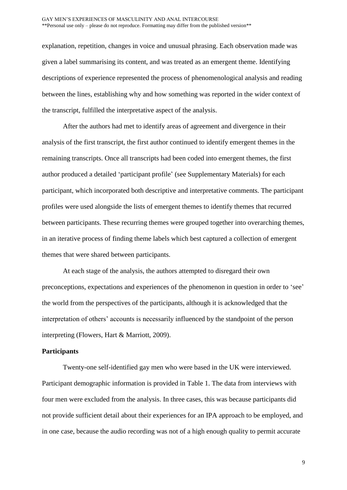explanation, repetition, changes in voice and unusual phrasing. Each observation made was given a label summarising its content, and was treated as an emergent theme. Identifying descriptions of experience represented the process of phenomenological analysis and reading between the lines, establishing why and how something was reported in the wider context of the transcript, fulfilled the interpretative aspect of the analysis.

After the authors had met to identify areas of agreement and divergence in their analysis of the first transcript, the first author continued to identify emergent themes in the remaining transcripts. Once all transcripts had been coded into emergent themes, the first author produced a detailed 'participant profile' (see Supplementary Materials) for each participant, which incorporated both descriptive and interpretative comments. The participant profiles were used alongside the lists of emergent themes to identify themes that recurred between participants. These recurring themes were grouped together into overarching themes, in an iterative process of finding theme labels which best captured a collection of emergent themes that were shared between participants.

At each stage of the analysis, the authors attempted to disregard their own preconceptions, expectations and experiences of the phenomenon in question in order to 'see' the world from the perspectives of the participants, although it is acknowledged that the interpretation of others' accounts is necessarily influenced by the standpoint of the person interpreting (Flowers, Hart & Marriott, 2009).

## **Participants**

Twenty-one self-identified gay men who were based in the UK were interviewed. Participant demographic information is provided in Table 1. The data from interviews with four men were excluded from the analysis. In three cases, this was because participants did not provide sufficient detail about their experiences for an IPA approach to be employed, and in one case, because the audio recording was not of a high enough quality to permit accurate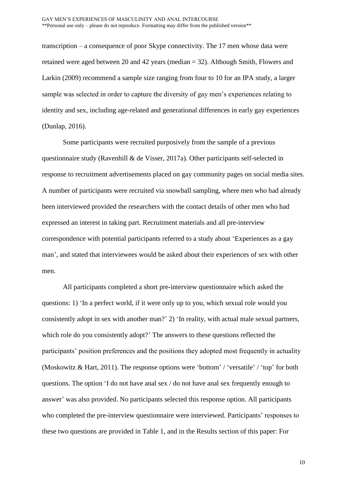transcription – a consequence of poor Skype connectivity. The 17 men whose data were retained were aged between 20 and 42 years (median = 32). Although Smith, Flowers and Larkin (2009) recommend a sample size ranging from four to 10 for an IPA study, a larger sample was selected in order to capture the diversity of gay men's experiences relating to identity and sex, including age-related and generational differences in early gay experiences (Dunlap, 2016).

Some participants were recruited purposively from the sample of a previous questionnaire study (Ravenhill & de Visser, 2017a). Other participants self-selected in response to recruitment advertisements placed on gay community pages on social media sites. A number of participants were recruited via snowball sampling, where men who had already been interviewed provided the researchers with the contact details of other men who had expressed an interest in taking part. Recruitment materials and all pre-interview correspondence with potential participants referred to a study about 'Experiences as a gay man', and stated that interviewees would be asked about their experiences of sex with other men.

All participants completed a short pre-interview questionnaire which asked the questions: 1) 'In a perfect world, if it were only up to you, which sexual role would you consistently adopt in sex with another man?' 2) 'In reality, with actual male sexual partners, which role do you consistently adopt?' The answers to these questions reflected the participants' position preferences and the positions they adopted most frequently in actuality (Moskowitz & Hart, 2011). The response options were 'bottom' / 'versatile' / 'top' for both questions. The option 'I do not have anal sex / do not have anal sex frequently enough to answer' was also provided. No participants selected this response option. All participants who completed the pre-interview questionnaire were interviewed. Participants' responses to these two questions are provided in Table 1, and in the Results section of this paper: For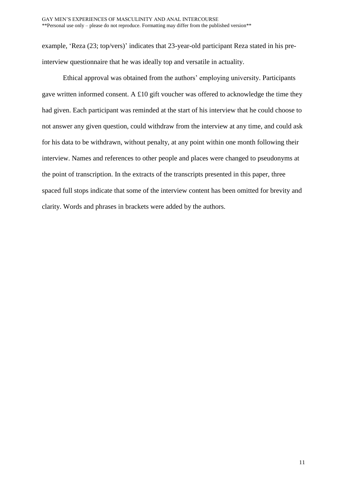example, 'Reza (23; top/vers)' indicates that 23-year-old participant Reza stated in his preinterview questionnaire that he was ideally top and versatile in actuality.

Ethical approval was obtained from the authors' employing university. Participants gave written informed consent. A £10 gift voucher was offered to acknowledge the time they had given. Each participant was reminded at the start of his interview that he could choose to not answer any given question, could withdraw from the interview at any time, and could ask for his data to be withdrawn, without penalty, at any point within one month following their interview. Names and references to other people and places were changed to pseudonyms at the point of transcription. In the extracts of the transcripts presented in this paper, three spaced full stops indicate that some of the interview content has been omitted for brevity and clarity. Words and phrases in brackets were added by the authors.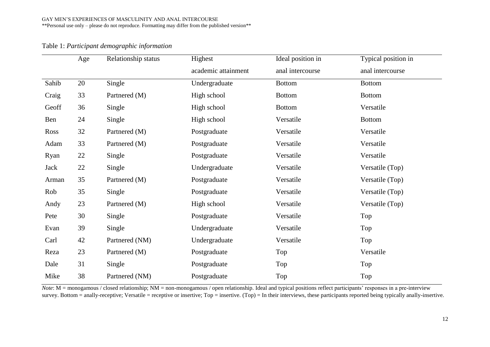| Table 1: Participant demographic information |  |  |  |
|----------------------------------------------|--|--|--|
|----------------------------------------------|--|--|--|

|       | Age | Relationship status | Highest             | Ideal position in | Typical position in |
|-------|-----|---------------------|---------------------|-------------------|---------------------|
|       |     |                     | academic attainment | anal intercourse  | anal intercourse    |
| Sahib | 20  | Single              | Undergraduate       | <b>Bottom</b>     | <b>Bottom</b>       |
| Craig | 33  | Partnered (M)       | High school         | <b>Bottom</b>     | <b>Bottom</b>       |
| Geoff | 36  | Single              | High school         | <b>Bottom</b>     | Versatile           |
| Ben   | 24  | Single              | High school         | Versatile         | <b>Bottom</b>       |
| Ross  | 32  | Partnered (M)       | Postgraduate        | Versatile         | Versatile           |
| Adam  | 33  | Partnered (M)       | Postgraduate        | Versatile         | Versatile           |
| Ryan  | 22  | Single              | Postgraduate        | Versatile         | Versatile           |
| Jack  | 22  | Single              | Undergraduate       | Versatile         | Versatile (Top)     |
| Arman | 35  | Partnered (M)       | Postgraduate        | Versatile         | Versatile (Top)     |
| Rob   | 35  | Single              | Postgraduate        | Versatile         | Versatile (Top)     |
| Andy  | 23  | Partnered (M)       | High school         | Versatile         | Versatile (Top)     |
| Pete  | 30  | Single              | Postgraduate        | Versatile         | Top                 |
| Evan  | 39  | Single              | Undergraduate       | Versatile         | Top                 |
| Carl  | 42  | Partnered (NM)      | Undergraduate       | Versatile         | Top                 |
| Reza  | 23  | Partnered (M)       | Postgraduate        | Top               | Versatile           |
| Dale  | 31  | Single              | Postgraduate        | Top               | Top                 |
| Mike  | 38  | Partnered (NM)      | Postgraduate        | Top               | Top                 |

*Note*: M = monogamous / closed relationship; NM = non-monogamous / open relationship. Ideal and typical positions reflect participants' responses in a pre-interview survey. Bottom = anally-receptive; Versatile = receptive or insertive; Top = insertive. (Top) = In their interviews, these participants reported being typically anally-insertive.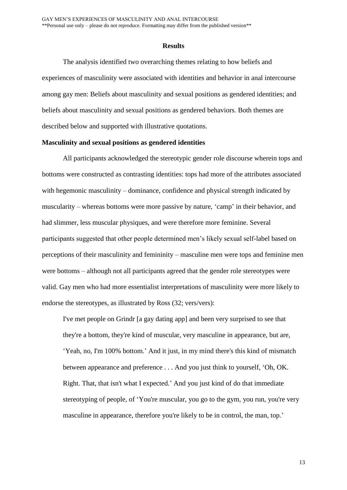#### **Results**

The analysis identified two overarching themes relating to how beliefs and experiences of masculinity were associated with identities and behavior in anal intercourse among gay men: Beliefs about masculinity and sexual positions as gendered identities; and beliefs about masculinity and sexual positions as gendered behaviors. Both themes are described below and supported with illustrative quotations.

#### **Masculinity and sexual positions as gendered identities**

All participants acknowledged the stereotypic gender role discourse wherein tops and bottoms were constructed as contrasting identities: tops had more of the attributes associated with hegemonic masculinity – dominance, confidence and physical strength indicated by muscularity – whereas bottoms were more passive by nature, 'camp' in their behavior, and had slimmer, less muscular physiques, and were therefore more feminine. Several participants suggested that other people determined men's likely sexual self-label based on perceptions of their masculinity and femininity – masculine men were tops and feminine men were bottoms – although not all participants agreed that the gender role stereotypes were valid. Gay men who had more essentialist interpretations of masculinity were more likely to endorse the stereotypes, as illustrated by Ross (32; vers/vers):

I've met people on Grindr [a gay dating app] and been very surprised to see that they're a bottom, they're kind of muscular, very masculine in appearance, but are, 'Yeah, no, I'm 100% bottom.' And it just, in my mind there's this kind of mismatch between appearance and preference . . . And you just think to yourself, 'Oh, OK. Right. That, that isn't what I expected.' And you just kind of do that immediate stereotyping of people, of 'You're muscular, you go to the gym, you run, you're very masculine in appearance, therefore you're likely to be in control, the man, top.'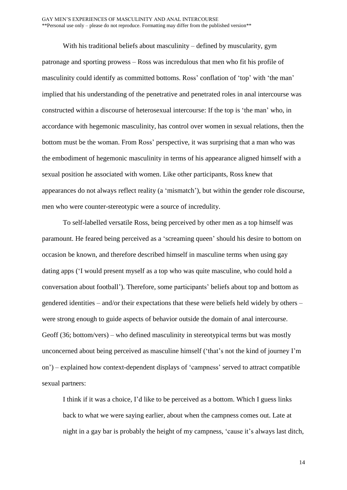With his traditional beliefs about masculinity – defined by muscularity, gym patronage and sporting prowess – Ross was incredulous that men who fit his profile of masculinity could identify as committed bottoms. Ross' conflation of 'top' with 'the man' implied that his understanding of the penetrative and penetrated roles in anal intercourse was constructed within a discourse of heterosexual intercourse: If the top is 'the man' who, in accordance with hegemonic masculinity, has control over women in sexual relations, then the bottom must be the woman. From Ross' perspective, it was surprising that a man who was the embodiment of hegemonic masculinity in terms of his appearance aligned himself with a sexual position he associated with women. Like other participants, Ross knew that appearances do not always reflect reality (a 'mismatch'), but within the gender role discourse, men who were counter-stereotypic were a source of incredulity.

To self-labelled versatile Ross, being perceived by other men as a top himself was paramount. He feared being perceived as a 'screaming queen' should his desire to bottom on occasion be known, and therefore described himself in masculine terms when using gay dating apps ('I would present myself as a top who was quite masculine, who could hold a conversation about football'). Therefore, some participants' beliefs about top and bottom as gendered identities – and/or their expectations that these were beliefs held widely by others – were strong enough to guide aspects of behavior outside the domain of anal intercourse. Geoff (36; bottom/vers) – who defined masculinity in stereotypical terms but was mostly unconcerned about being perceived as masculine himself ('that's not the kind of journey I'm on') – explained how context-dependent displays of 'campness' served to attract compatible sexual partners:

I think if it was a choice, I'd like to be perceived as a bottom. Which I guess links back to what we were saying earlier, about when the campness comes out. Late at night in a gay bar is probably the height of my campness, 'cause it's always last ditch,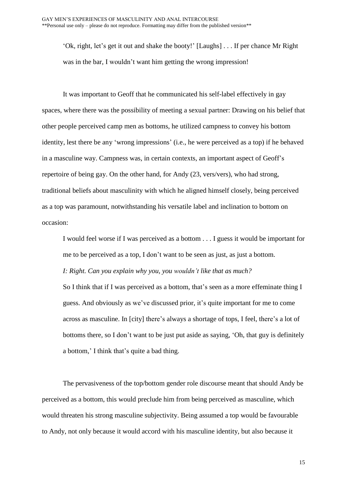'Ok, right, let's get it out and shake the booty!' [Laughs] . . . If per chance Mr Right was in the bar, I wouldn't want him getting the wrong impression!

It was important to Geoff that he communicated his self-label effectively in gay spaces, where there was the possibility of meeting a sexual partner: Drawing on his belief that other people perceived camp men as bottoms, he utilized campness to convey his bottom identity, lest there be any 'wrong impressions' (i.e., he were perceived as a top) if he behaved in a masculine way. Campness was, in certain contexts, an important aspect of Geoff's repertoire of being gay. On the other hand, for Andy (23, vers/vers), who had strong, traditional beliefs about masculinity with which he aligned himself closely, being perceived as a top was paramount, notwithstanding his versatile label and inclination to bottom on occasion:

I would feel worse if I was perceived as a bottom . . . I guess it would be important for me to be perceived as a top, I don't want to be seen as just, as just a bottom. *I: Right. Can you explain why you, you wouldn't like that as much?* So I think that if I was perceived as a bottom, that's seen as a more effeminate thing I guess. And obviously as we've discussed prior, it's quite important for me to come across as masculine. In [city] there's always a shortage of tops, I feel, there's a lot of bottoms there, so I don't want to be just put aside as saying, 'Oh, that guy is definitely a bottom,' I think that's quite a bad thing.

The pervasiveness of the top/bottom gender role discourse meant that should Andy be perceived as a bottom, this would preclude him from being perceived as masculine, which would threaten his strong masculine subjectivity. Being assumed a top would be favourable to Andy, not only because it would accord with his masculine identity, but also because it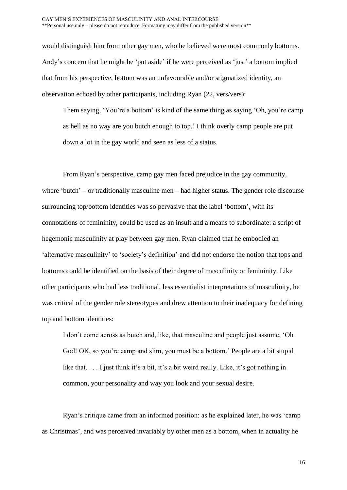would distinguish him from other gay men, who he believed were most commonly bottoms. Andy's concern that he might be 'put aside' if he were perceived as 'just' a bottom implied that from his perspective, bottom was an unfavourable and/or stigmatized identity, an observation echoed by other participants, including Ryan (22, vers/vers):

Them saying, 'You're a bottom' is kind of the same thing as saying 'Oh, you're camp as hell as no way are you butch enough to top.' I think overly camp people are put down a lot in the gay world and seen as less of a status.

From Ryan's perspective, camp gay men faced prejudice in the gay community, where 'butch' – or traditionally masculine men – had higher status. The gender role discourse surrounding top/bottom identities was so pervasive that the label 'bottom', with its connotations of femininity, could be used as an insult and a means to subordinate: a script of hegemonic masculinity at play between gay men. Ryan claimed that he embodied an 'alternative masculinity' to 'society's definition' and did not endorse the notion that tops and bottoms could be identified on the basis of their degree of masculinity or femininity. Like other participants who had less traditional, less essentialist interpretations of masculinity, he was critical of the gender role stereotypes and drew attention to their inadequacy for defining top and bottom identities:

I don't come across as butch and, like, that masculine and people just assume, 'Oh God! OK, so you're camp and slim, you must be a bottom.' People are a bit stupid like that. . . . I just think it's a bit, it's a bit weird really. Like, it's got nothing in common, your personality and way you look and your sexual desire.

Ryan's critique came from an informed position: as he explained later, he was 'camp as Christmas', and was perceived invariably by other men as a bottom, when in actuality he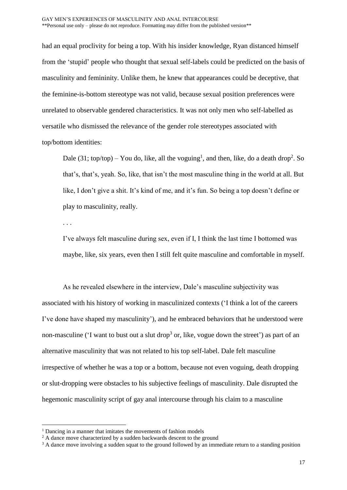had an equal proclivity for being a top. With his insider knowledge, Ryan distanced himself from the 'stupid' people who thought that sexual self-labels could be predicted on the basis of masculinity and femininity. Unlike them, he knew that appearances could be deceptive, that the feminine-is-bottom stereotype was not valid, because sexual position preferences were unrelated to observable gendered characteristics. It was not only men who self-labelled as versatile who dismissed the relevance of the gender role stereotypes associated with top/bottom identities:

Dale (31; top/top) – You do, like, all the voguing<sup>1</sup>, and then, like, do a death drop<sup>2</sup>. So that's, that's, yeah. So, like, that isn't the most masculine thing in the world at all. But like, I don't give a shit. It's kind of me, and it's fun. So being a top doesn't define or play to masculinity, really.

. . .

1

I've always felt masculine during sex, even if I, I think the last time I bottomed was maybe, like, six years, even then I still felt quite masculine and comfortable in myself.

As he revealed elsewhere in the interview, Dale's masculine subjectivity was associated with his history of working in masculinized contexts ('I think a lot of the careers I've done have shaped my masculinity'), and he embraced behaviors that he understood were non-masculine ( $\lq$  want to bust out a slut drop<sup>3</sup> or, like, vogue down the street') as part of an alternative masculinity that was not related to his top self-label. Dale felt masculine irrespective of whether he was a top or a bottom, because not even voguing, death dropping or slut-dropping were obstacles to his subjective feelings of masculinity. Dale disrupted the hegemonic masculinity script of gay anal intercourse through his claim to a masculine

 $<sup>1</sup>$  Dancing in a manner that imitates the movements of fashion models</sup>

<sup>&</sup>lt;sup>2</sup> A dance move characterized by a sudden backwards descent to the ground

<sup>&</sup>lt;sup>3</sup> A dance move involving a sudden squat to the ground followed by an immediate return to a standing position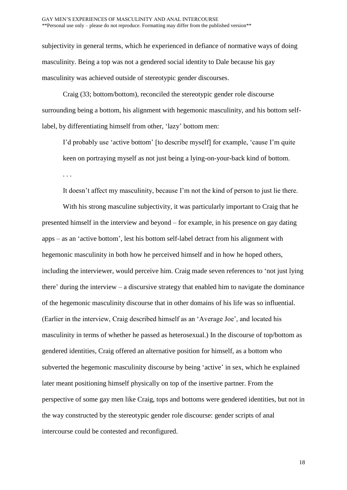subjectivity in general terms, which he experienced in defiance of normative ways of doing masculinity. Being a top was not a gendered social identity to Dale because his gay masculinity was achieved outside of stereotypic gender discourses.

Craig (33; bottom/bottom), reconciled the stereotypic gender role discourse surrounding being a bottom, his alignment with hegemonic masculinity, and his bottom selflabel, by differentiating himself from other, 'lazy' bottom men:

I'd probably use 'active bottom' [to describe myself] for example, 'cause I'm quite keen on portraying myself as not just being a lying-on-your-back kind of bottom. . . .

It doesn't affect my masculinity, because I'm not the kind of person to just lie there.

With his strong masculine subjectivity, it was particularly important to Craig that he presented himself in the interview and beyond – for example, in his presence on gay dating apps – as an 'active bottom', lest his bottom self-label detract from his alignment with hegemonic masculinity in both how he perceived himself and in how he hoped others, including the interviewer, would perceive him. Craig made seven references to 'not just lying there' during the interview – a discursive strategy that enabled him to navigate the dominance of the hegemonic masculinity discourse that in other domains of his life was so influential. (Earlier in the interview, Craig described himself as an 'Average Joe', and located his masculinity in terms of whether he passed as heterosexual.) In the discourse of top/bottom as gendered identities, Craig offered an alternative position for himself, as a bottom who subverted the hegemonic masculinity discourse by being 'active' in sex, which he explained later meant positioning himself physically on top of the insertive partner. From the perspective of some gay men like Craig, tops and bottoms were gendered identities, but not in the way constructed by the stereotypic gender role discourse: gender scripts of anal intercourse could be contested and reconfigured.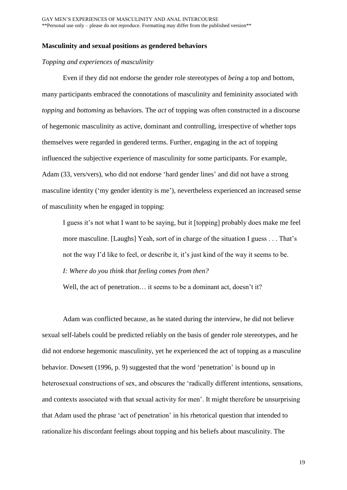### **Masculinity and sexual positions as gendered behaviors**

## *Topping and experiences of masculinity*

Even if they did not endorse the gender role stereotypes of *being* a top and bottom, many participants embraced the connotations of masculinity and femininity associated with *topping* and *bottoming* as behaviors. The *act* of topping was often constructed in a discourse of hegemonic masculinity as active, dominant and controlling, irrespective of whether tops themselves were regarded in gendered terms. Further, engaging in the act of topping influenced the subjective experience of masculinity for some participants. For example, Adam (33, vers/vers), who did not endorse 'hard gender lines' and did not have a strong masculine identity ('my gender identity is me'), nevertheless experienced an increased sense of masculinity when he engaged in topping:

I guess it's not what I want to be saying, but it [topping] probably does make me feel more masculine. [Laughs] Yeah, sort of in charge of the situation I guess . . . That's not the way I'd like to feel, or describe it, it's just kind of the way it seems to be. *I: Where do you think that feeling comes from then?*

Well, the act of penetration... it seems to be a dominant act, doesn't it?

Adam was conflicted because, as he stated during the interview, he did not believe sexual self-labels could be predicted reliably on the basis of gender role stereotypes, and he did not endorse hegemonic masculinity, yet he experienced the act of topping as a masculine behavior. Dowsett (1996, p. 9) suggested that the word 'penetration' is bound up in heterosexual constructions of sex, and obscures the 'radically different intentions, sensations, and contexts associated with that sexual activity for men'. It might therefore be unsurprising that Adam used the phrase 'act of penetration' in his rhetorical question that intended to rationalize his discordant feelings about topping and his beliefs about masculinity. The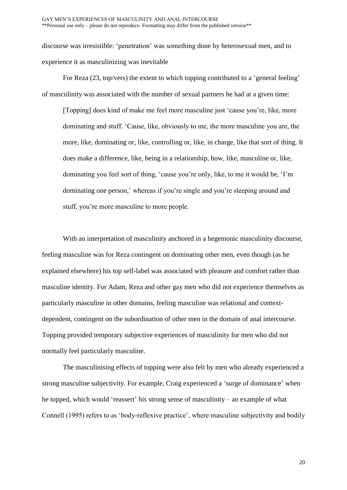discourse was irresistible: 'penetration' was something done by heterosexual men, and to experience it as masculinizing was inevitable

For Reza (23, top/vers) the extent to which topping contributed to a 'general feeling' of masculinity was associated with the number of sexual partners he had at a given time:

[Topping] does kind of make me feel more masculine just 'cause you're, like, more dominating and stuff. 'Cause, like, obviously to me, the more masculine you are, the more, like, dominating or, like, controlling or, like, in charge, like that sort of thing. It does make a difference, like, being in a relationship, how, like, masculine or, like, dominating you feel sort of thing, 'cause you're only, like, to me it would be, 'I'm dominating one person,' whereas if you're single and you're sleeping around and stuff, you're more masculine to more people.

With an interpretation of masculinity anchored in a hegemonic masculinity discourse, feeling masculine was for Reza contingent on dominating other men, even though (as he explained elsewhere) his top self-label was associated with pleasure and comfort rather than masculine identity. For Adam, Reza and other gay men who did not experience themselves as particularly masculine in other domains, feeling masculine was relational and contextdependent, contingent on the subordination of other men in the domain of anal intercourse. Topping provided temporary subjective experiences of masculinity for men who did not normally feel particularly masculine.

The masculinising effects of topping were also felt by men who already experienced a strong masculine subjectivity. For example, Craig experienced a 'surge of dominance' when he topped, which would 'reassert' his strong sense of masculinity – an example of what Connell (1995) refers to as 'body-reflexive practice', where masculine subjectivity and bodily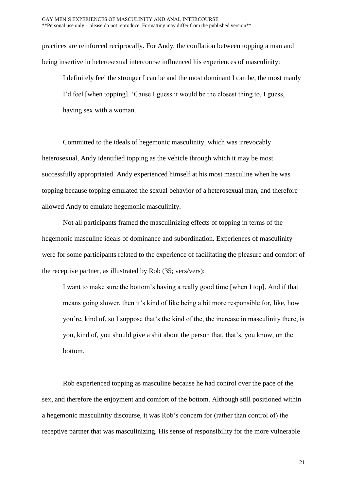practices are reinforced reciprocally. For Andy, the conflation between topping a man and being insertive in heterosexual intercourse influenced his experiences of masculinity:

I definitely feel the stronger I can be and the most dominant I can be, the most manly I'd feel [when topping]. 'Cause I guess it would be the closest thing to, I guess, having sex with a woman.

Committed to the ideals of hegemonic masculinity, which was irrevocably heterosexual, Andy identified topping as the vehicle through which it may be most successfully appropriated. Andy experienced himself at his most masculine when he was topping because topping emulated the sexual behavior of a heterosexual man, and therefore allowed Andy to emulate hegemonic masculinity.

Not all participants framed the masculinizing effects of topping in terms of the hegemonic masculine ideals of dominance and subordination. Experiences of masculinity were for some participants related to the experience of facilitating the pleasure and comfort of the receptive partner, as illustrated by Rob (35; vers/vers):

I want to make sure the bottom's having a really good time [when I top]. And if that means going slower, then it's kind of like being a bit more responsible for, like, how you're, kind of, so I suppose that's the kind of the, the increase in masculinity there, is you, kind of, you should give a shit about the person that, that's, you know, on the bottom.

Rob experienced topping as masculine because he had control over the pace of the sex, and therefore the enjoyment and comfort of the bottom. Although still positioned within a hegemonic masculinity discourse, it was Rob's concern for (rather than control of) the receptive partner that was masculinizing. His sense of responsibility for the more vulnerable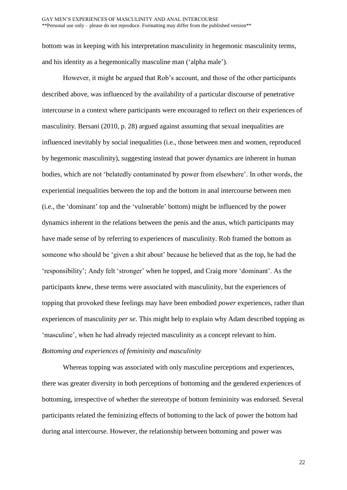bottom was in keeping with his interpretation masculinity in hegemonic masculinity terms, and his identity as a hegemonically masculine man ('alpha male').

However, it might be argued that Rob's account, and those of the other participants described above, was influenced by the availability of a particular discourse of penetrative intercourse in a context where participants were encouraged to reflect on their experiences of masculinity. Bersani (2010, p. 28) argued against assuming that sexual inequalities are influenced inevitably by social inequalities (i.e., those between men and women, reproduced by hegemonic masculinity), suggesting instead that power dynamics are inherent in human bodies, which are not 'belatedly contaminated by power from elsewhere'. In other words, the experiential inequalities between the top and the bottom in anal intercourse between men (i.e., the 'dominant' top and the 'vulnerable' bottom) might be influenced by the power dynamics inherent in the relations between the penis and the anus, which participants may have made sense of by referring to experiences of masculinity. Rob framed the bottom as someone who should be 'given a shit about' because he believed that as the top, he had the 'responsibility'; Andy felt 'stronger' when he topped, and Craig more 'dominant'. As the participants knew, these terms were associated with masculinity, but the experiences of topping that provoked these feelings may have been embodied *power* experiences, rather than experiences of masculinity *per se*. This might help to explain why Adam described topping as 'masculine', when he had already rejected masculinity as a concept relevant to him. *Bottoming and experiences of femininity and masculinity* 

Whereas topping was associated with only masculine perceptions and experiences, there was greater diversity in both perceptions of bottoming and the gendered experiences of bottoming, irrespective of whether the stereotype of bottom femininity was endorsed. Several participants related the feminizing effects of bottoming to the lack of power the bottom had during anal intercourse. However, the relationship between bottoming and power was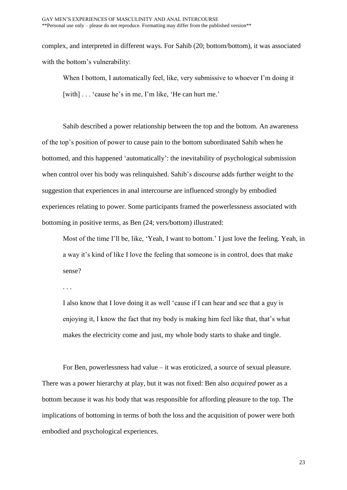complex, and interpreted in different ways. For Sahib (20; bottom/bottom), it was associated with the bottom's vulnerability:

When I bottom, I automatically feel, like, very submissive to whoever I'm doing it [with] . . . 'cause he's in me, I'm like, 'He can hurt me.'

Sahib described a power relationship between the top and the bottom. An awareness of the top's position of power to cause pain to the bottom subordinated Sahib when he bottomed, and this happened 'automatically': the inevitability of psychological submission when control over his body was relinquished. Sahib's discourse adds further weight to the suggestion that experiences in anal intercourse are influenced strongly by embodied experiences relating to power. Some participants framed the powerlessness associated with bottoming in positive terms, as Ben (24; vers/bottom) illustrated:

Most of the time I'll be, like, 'Yeah, I want to bottom.' I just love the feeling. Yeah, in a way it's kind of like I love the feeling that someone is in control, does that make sense?

. . .

I also know that I love doing it as well 'cause if I can hear and see that a guy is enjoying it, I know the fact that my body is making him feel like that, that's what makes the electricity come and just, my whole body starts to shake and tingle.

For Ben, powerlessness had value – it was eroticized, a source of sexual pleasure. There was a power hierarchy at play, but it was not fixed: Ben also *acquired* power as a bottom because it was *his* body that was responsible for affording pleasure to the top. The implications of bottoming in terms of both the loss and the acquisition of power were both embodied and psychological experiences.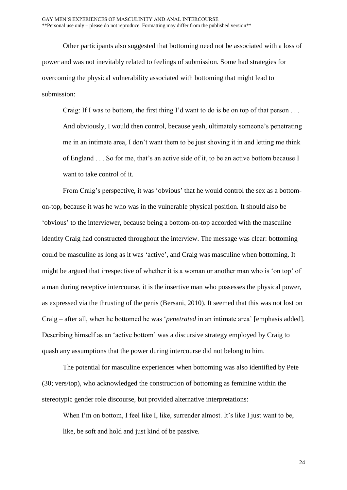Other participants also suggested that bottoming need not be associated with a loss of power and was not inevitably related to feelings of submission. Some had strategies for overcoming the physical vulnerability associated with bottoming that might lead to submission:

Craig: If I was to bottom, the first thing I'd want to do is be on top of that person . . . And obviously, I would then control, because yeah, ultimately someone's penetrating me in an intimate area, I don't want them to be just shoving it in and letting me think of England . . . So for me, that's an active side of it, to be an active bottom because I want to take control of it.

From Craig's perspective, it was 'obvious' that he would control the sex as a bottomon-top, because it was he who was in the vulnerable physical position. It should also be 'obvious' to the interviewer, because being a bottom-on-top accorded with the masculine identity Craig had constructed throughout the interview. The message was clear: bottoming could be masculine as long as it was 'active', and Craig was masculine when bottoming. It might be argued that irrespective of whether it is a woman or another man who is 'on top' of a man during receptive intercourse, it is the insertive man who possesses the physical power, as expressed via the thrusting of the penis (Bersani, 2010). It seemed that this was not lost on Craig – after all, when he bottomed he was '*penetrated* in an intimate area' [emphasis added]. Describing himself as an 'active bottom' was a discursive strategy employed by Craig to quash any assumptions that the power during intercourse did not belong to him.

The potential for masculine experiences when bottoming was also identified by Pete (30; vers/top), who acknowledged the construction of bottoming as feminine within the stereotypic gender role discourse, but provided alternative interpretations:

When I'm on bottom, I feel like I, like, surrender almost. It's like I just want to be, like, be soft and hold and just kind of be passive.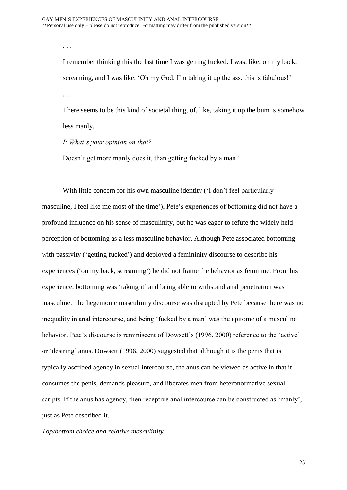. . .

I remember thinking this the last time I was getting fucked. I was, like, on my back, screaming, and I was like, 'Oh my God, I'm taking it up the ass, this is fabulous!' . . .

There seems to be this kind of societal thing, of, like, taking it up the bum is somehow less manly.

*I: What's your opinion on that?*

Doesn't get more manly does it, than getting fucked by a man?!

With little concern for his own masculine identity ('I don't feel particularly masculine, I feel like me most of the time'), Pete's experiences of bottoming did not have a profound influence on his sense of masculinity, but he was eager to refute the widely held perception of bottoming as a less masculine behavior. Although Pete associated bottoming with passivity ('getting fucked') and deployed a femininity discourse to describe his experiences ('on my back, screaming') he did not frame the behavior as feminine. From his experience, bottoming was 'taking it' and being able to withstand anal penetration was masculine. The hegemonic masculinity discourse was disrupted by Pete because there was no inequality in anal intercourse, and being 'fucked by a man' was the epitome of a masculine behavior. Pete's discourse is reminiscent of Dowsett's (1996, 2000) reference to the 'active' or 'desiring' anus. Dowsett (1996, 2000) suggested that although it is the penis that is typically ascribed agency in sexual intercourse, the anus can be viewed as active in that it consumes the penis, demands pleasure, and liberates men from heteronormative sexual scripts. If the anus has agency, then receptive anal intercourse can be constructed as 'manly', just as Pete described it.

# *Top/bottom choice and relative masculinity*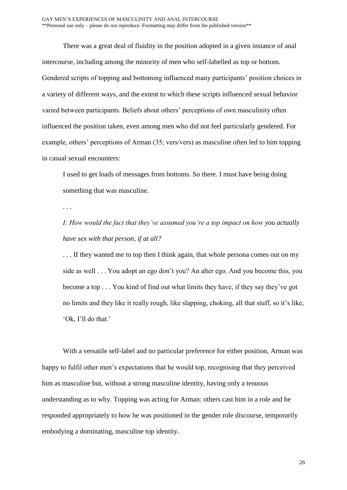There was a great deal of fluidity in the position adopted in a given instance of anal intercourse, including among the minority of men who self-labelled as top or bottom. Gendered scripts of topping and bottoming influenced many participants' position choices in a variety of different ways, and the extent to which these scripts influenced sexual behavior varied between participants. Beliefs about others' perceptions of own masculinity often influenced the position taken, even among men who did not feel particularly gendered. For example, others' perceptions of Arman (35; vers/vers) as masculine often led to him topping in casual sexual encounters:

I used to get loads of messages from bottoms. So there. I must have being doing something that was masculine.

. . .

*I: How would the fact that they've assumed you're a top impact on how you actually have sex with that person, if at all?*

... If they wanted me to top then I think again, that whole persona comes out on my side as well . . . You adopt an ego don't you? An alter ego. And you become this, you become a top . . . You kind of find out what limits they have, if they say they've got no limits and they like it really rough, like slapping, choking, all that stuff, so it's like, 'Ok, I'll do that.'

With a versatile self-label and no particular preference for either position, Arman was happy to fulfil other men's expectations that he would top, recognising that they perceived him as masculine but, without a strong masculine identity, having only a tenuous understanding as to why. Topping was acting for Arman: others cast him in a role and he responded appropriately to how he was positioned in the gender role discourse, temporarily embodying a dominating, masculine top identity.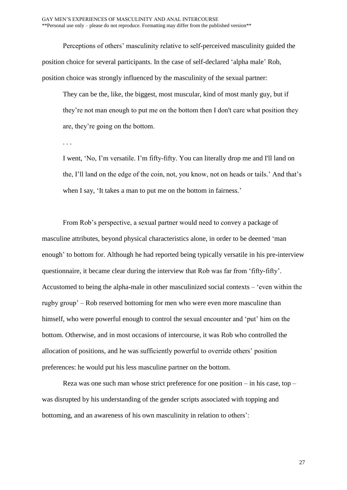Perceptions of others' masculinity relative to self-perceived masculinity guided the position choice for several participants. In the case of self-declared 'alpha male' Rob, position choice was strongly influenced by the masculinity of the sexual partner:

They can be the, like, the biggest, most muscular, kind of most manly guy, but if they're not man enough to put me on the bottom then I don't care what position they are, they're going on the bottom.

. . .

I went, 'No, I'm versatile. I'm fifty-fifty. You can literally drop me and I'll land on the, I'll land on the edge of the coin, not, you know, not on heads or tails.' And that's when I say, 'It takes a man to put me on the bottom in fairness.'

From Rob's perspective, a sexual partner would need to convey a package of masculine attributes, beyond physical characteristics alone, in order to be deemed 'man enough' to bottom for. Although he had reported being typically versatile in his pre-interview questionnaire, it became clear during the interview that Rob was far from 'fifty-fifty'. Accustomed to being the alpha-male in other masculinized social contexts – 'even within the rugby group' – Rob reserved bottoming for men who were even more masculine than himself, who were powerful enough to control the sexual encounter and 'put' him on the bottom. Otherwise, and in most occasions of intercourse, it was Rob who controlled the allocation of positions, and he was sufficiently powerful to override others' position preferences: he would put his less masculine partner on the bottom.

Reza was one such man whose strict preference for one position – in his case, top – was disrupted by his understanding of the gender scripts associated with topping and bottoming, and an awareness of his own masculinity in relation to others':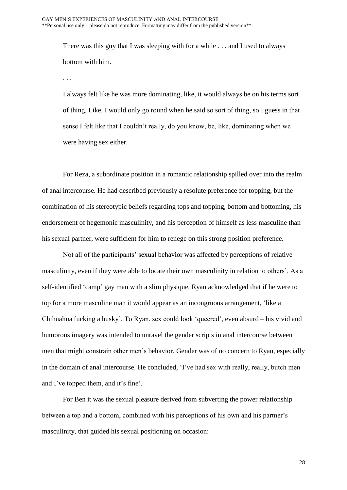There was this guy that I was sleeping with for a while . . . and I used to always bottom with him.

. . .

I always felt like he was more dominating, like, it would always be on his terms sort of thing. Like, I would only go round when he said so sort of thing, so I guess in that sense I felt like that I couldn't really, do you know, be, like, dominating when we were having sex either.

For Reza, a subordinate position in a romantic relationship spilled over into the realm of anal intercourse. He had described previously a resolute preference for topping, but the combination of his stereotypic beliefs regarding tops and topping, bottom and bottoming, his endorsement of hegemonic masculinity, and his perception of himself as less masculine than his sexual partner, were sufficient for him to renege on this strong position preference.

Not all of the participants' sexual behavior was affected by perceptions of relative masculinity, even if they were able to locate their own masculinity in relation to others'. As a self-identified 'camp' gay man with a slim physique, Ryan acknowledged that if he were to top for a more masculine man it would appear as an incongruous arrangement, 'like a Chihuahua fucking a husky'. To Ryan, sex could look 'queered', even absurd – his vivid and humorous imagery was intended to unravel the gender scripts in anal intercourse between men that might constrain other men's behavior. Gender was of no concern to Ryan, especially in the domain of anal intercourse. He concluded, 'I've had sex with really, really, butch men and I've topped them, and it's fine'.

For Ben it was the sexual pleasure derived from subverting the power relationship between a top and a bottom, combined with his perceptions of his own and his partner's masculinity, that guided his sexual positioning on occasion: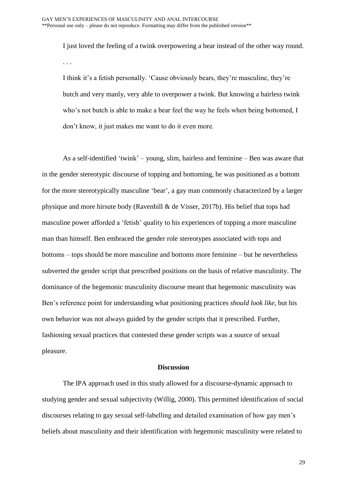I just loved the feeling of a twink overpowering a bear instead of the other way round. . . .

I think it's a fetish personally. 'Cause obviously bears, they're masculine, they're butch and very manly, very able to overpower a twink. But knowing a hairless twink who's not butch is able to make a bear feel the way he feels when being bottomed, I don't know, it just makes me want to do it even more.

As a self-identified 'twink' – young, slim, hairless and feminine – Ben was aware that in the gender stereotypic discourse of topping and bottoming, he was positioned as a bottom for the more stereotypically masculine 'bear', a gay man commonly characterized by a larger physique and more hirsute body (Ravenhill & de Visser, 2017b). His belief that tops had masculine power afforded a 'fetish' quality to his experiences of topping a more masculine man than himself. Ben embraced the gender role stereotypes associated with tops and bottoms – tops should be more masculine and bottoms more feminine – but he nevertheless subverted the gender script that prescribed positions on the basis of relative masculinity. The dominance of the hegemonic masculinity discourse meant that hegemonic masculinity was Ben's reference point for understanding what positioning practices *should look like*, but his own behavior was not always guided by the gender scripts that it prescribed. Further, fashioning sexual practices that contested these gender scripts was a source of sexual pleasure.

## **Discussion**

The IPA approach used in this study allowed for a discourse-dynamic approach to studying gender and sexual subjectivity (Willig, 2000). This permitted identification of social discourses relating to gay sexual self-labelling and detailed examination of how gay men's beliefs about masculinity and their identification with hegemonic masculinity were related to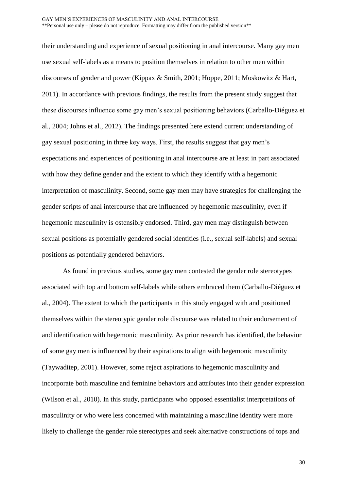their understanding and experience of sexual positioning in anal intercourse. Many gay men use sexual self-labels as a means to position themselves in relation to other men within discourses of gender and power (Kippax & Smith, 2001; Hoppe, 2011; Moskowitz & Hart, 2011). In accordance with previous findings, the results from the present study suggest that these discourses influence some gay men's sexual positioning behaviors (Carballo-Diéguez et al., 2004; Johns et al., 2012). The findings presented here extend current understanding of gay sexual positioning in three key ways. First, the results suggest that gay men's expectations and experiences of positioning in anal intercourse are at least in part associated with how they define gender and the extent to which they identify with a hegemonic interpretation of masculinity. Second, some gay men may have strategies for challenging the gender scripts of anal intercourse that are influenced by hegemonic masculinity, even if hegemonic masculinity is ostensibly endorsed. Third, gay men may distinguish between sexual positions as potentially gendered social identities (i.e., sexual self-labels) and sexual positions as potentially gendered behaviors.

As found in previous studies, some gay men contested the gender role stereotypes associated with top and bottom self-labels while others embraced them (Carballo-Diéguez et al., 2004). The extent to which the participants in this study engaged with and positioned themselves within the stereotypic gender role discourse was related to their endorsement of and identification with hegemonic masculinity. As prior research has identified, the behavior of some gay men is influenced by their aspirations to align with hegemonic masculinity (Taywaditep, 2001). However, some reject aspirations to hegemonic masculinity and incorporate both masculine and feminine behaviors and attributes into their gender expression (Wilson et al., 2010). In this study, participants who opposed essentialist interpretations of masculinity or who were less concerned with maintaining a masculine identity were more likely to challenge the gender role stereotypes and seek alternative constructions of tops and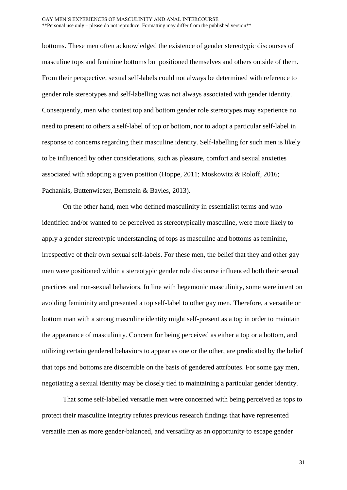bottoms. These men often acknowledged the existence of gender stereotypic discourses of masculine tops and feminine bottoms but positioned themselves and others outside of them. From their perspective, sexual self-labels could not always be determined with reference to gender role stereotypes and self-labelling was not always associated with gender identity. Consequently, men who contest top and bottom gender role stereotypes may experience no need to present to others a self-label of top or bottom, nor to adopt a particular self-label in response to concerns regarding their masculine identity. Self-labelling for such men is likely to be influenced by other considerations, such as pleasure, comfort and sexual anxieties associated with adopting a given position (Hoppe, 2011; Moskowitz & Roloff, 2016; Pachankis, Buttenwieser, Bernstein & Bayles, 2013).

On the other hand, men who defined masculinity in essentialist terms and who identified and/or wanted to be perceived as stereotypically masculine, were more likely to apply a gender stereotypic understanding of tops as masculine and bottoms as feminine, irrespective of their own sexual self-labels. For these men, the belief that they and other gay men were positioned within a stereotypic gender role discourse influenced both their sexual practices and non-sexual behaviors. In line with hegemonic masculinity, some were intent on avoiding femininity and presented a top self-label to other gay men. Therefore, a versatile or bottom man with a strong masculine identity might self-present as a top in order to maintain the appearance of masculinity. Concern for being perceived as either a top or a bottom, and utilizing certain gendered behaviors to appear as one or the other, are predicated by the belief that tops and bottoms are discernible on the basis of gendered attributes. For some gay men, negotiating a sexual identity may be closely tied to maintaining a particular gender identity.

That some self-labelled versatile men were concerned with being perceived as tops to protect their masculine integrity refutes previous research findings that have represented versatile men as more gender-balanced, and versatility as an opportunity to escape gender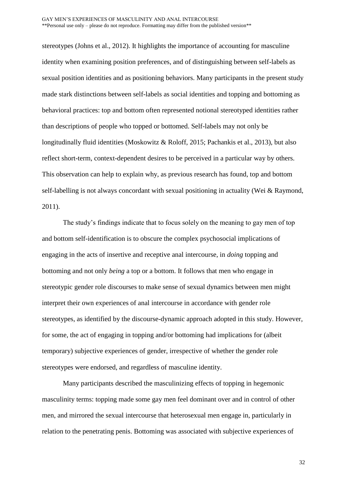stereotypes (Johns et al., 2012). It highlights the importance of accounting for masculine identity when examining position preferences, and of distinguishing between self-labels as sexual position identities and as positioning behaviors. Many participants in the present study made stark distinctions between self-labels as social identities and topping and bottoming as behavioral practices: top and bottom often represented notional stereotyped identities rather than descriptions of people who topped or bottomed. Self-labels may not only be longitudinally fluid identities (Moskowitz & Roloff, 2015; Pachankis et al., 2013), but also reflect short-term, context-dependent desires to be perceived in a particular way by others. This observation can help to explain why, as previous research has found, top and bottom self-labelling is not always concordant with sexual positioning in actuality (Wei & Raymond, 2011).

The study's findings indicate that to focus solely on the meaning to gay men of top and bottom self-identification is to obscure the complex psychosocial implications of engaging in the acts of insertive and receptive anal intercourse, in *doing* topping and bottoming and not only *being* a top or a bottom. It follows that men who engage in stereotypic gender role discourses to make sense of sexual dynamics between men might interpret their own experiences of anal intercourse in accordance with gender role stereotypes, as identified by the discourse-dynamic approach adopted in this study. However, for some, the act of engaging in topping and/or bottoming had implications for (albeit temporary) subjective experiences of gender, irrespective of whether the gender role stereotypes were endorsed, and regardless of masculine identity.

Many participants described the masculinizing effects of topping in hegemonic masculinity terms: topping made some gay men feel dominant over and in control of other men, and mirrored the sexual intercourse that heterosexual men engage in, particularly in relation to the penetrating penis. Bottoming was associated with subjective experiences of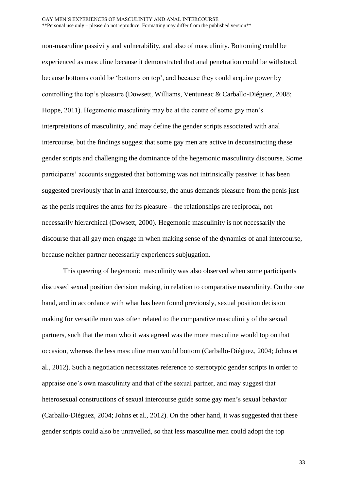non-masculine passivity and vulnerability, and also of masculinity. Bottoming could be experienced as masculine because it demonstrated that anal penetration could be withstood, because bottoms could be 'bottoms on top', and because they could acquire power by controlling the top's pleasure (Dowsett, Williams, Ventuneac & Carballo-Diéguez, 2008; Hoppe, 2011). Hegemonic masculinity may be at the centre of some gay men's interpretations of masculinity, and may define the gender scripts associated with anal intercourse, but the findings suggest that some gay men are active in deconstructing these gender scripts and challenging the dominance of the hegemonic masculinity discourse. Some participants' accounts suggested that bottoming was not intrinsically passive: It has been suggested previously that in anal intercourse, the anus demands pleasure from the penis just as the penis requires the anus for its pleasure – the relationships are reciprocal, not necessarily hierarchical (Dowsett, 2000). Hegemonic masculinity is not necessarily the discourse that all gay men engage in when making sense of the dynamics of anal intercourse, because neither partner necessarily experiences subjugation.

This queering of hegemonic masculinity was also observed when some participants discussed sexual position decision making, in relation to comparative masculinity. On the one hand, and in accordance with what has been found previously, sexual position decision making for versatile men was often related to the comparative masculinity of the sexual partners, such that the man who it was agreed was the more masculine would top on that occasion, whereas the less masculine man would bottom (Carballo-Diéguez, 2004; Johns et al., 2012). Such a negotiation necessitates reference to stereotypic gender scripts in order to appraise one's own masculinity and that of the sexual partner, and may suggest that heterosexual constructions of sexual intercourse guide some gay men's sexual behavior (Carballo-Diéguez, 2004; Johns et al., 2012). On the other hand, it was suggested that these gender scripts could also be unravelled, so that less masculine men could adopt the top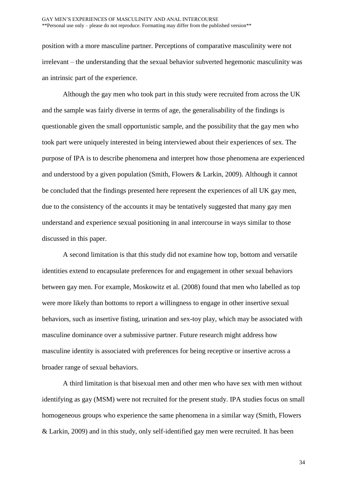position with a more masculine partner. Perceptions of comparative masculinity were not irrelevant – the understanding that the sexual behavior subverted hegemonic masculinity was an intrinsic part of the experience.

Although the gay men who took part in this study were recruited from across the UK and the sample was fairly diverse in terms of age, the generalisability of the findings is questionable given the small opportunistic sample, and the possibility that the gay men who took part were uniquely interested in being interviewed about their experiences of sex. The purpose of IPA is to describe phenomena and interpret how those phenomena are experienced and understood by a given population (Smith, Flowers & Larkin, 2009). Although it cannot be concluded that the findings presented here represent the experiences of all UK gay men, due to the consistency of the accounts it may be tentatively suggested that many gay men understand and experience sexual positioning in anal intercourse in ways similar to those discussed in this paper.

A second limitation is that this study did not examine how top, bottom and versatile identities extend to encapsulate preferences for and engagement in other sexual behaviors between gay men. For example, Moskowitz et al. (2008) found that men who labelled as top were more likely than bottoms to report a willingness to engage in other insertive sexual behaviors, such as insertive fisting, urination and sex-toy play, which may be associated with masculine dominance over a submissive partner. Future research might address how masculine identity is associated with preferences for being receptive or insertive across a broader range of sexual behaviors.

A third limitation is that bisexual men and other men who have sex with men without identifying as gay (MSM) were not recruited for the present study. IPA studies focus on small homogeneous groups who experience the same phenomena in a similar way (Smith, Flowers & Larkin, 2009) and in this study, only self-identified gay men were recruited. It has been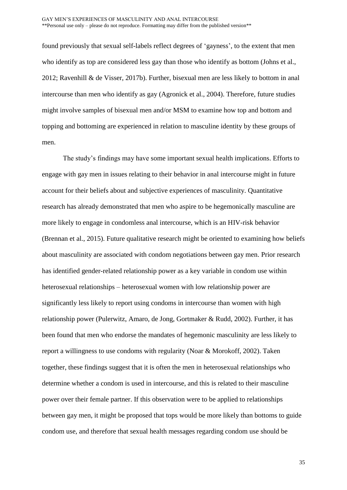found previously that sexual self-labels reflect degrees of 'gayness', to the extent that men who identify as top are considered less gay than those who identify as bottom (Johns et al., 2012; Ravenhill & de Visser, 2017b). Further, bisexual men are less likely to bottom in anal intercourse than men who identify as gay (Agronick et al., 2004). Therefore, future studies might involve samples of bisexual men and/or MSM to examine how top and bottom and topping and bottoming are experienced in relation to masculine identity by these groups of men.

The study's findings may have some important sexual health implications. Efforts to engage with gay men in issues relating to their behavior in anal intercourse might in future account for their beliefs about and subjective experiences of masculinity. Quantitative research has already demonstrated that men who aspire to be hegemonically masculine are more likely to engage in condomless anal intercourse, which is an HIV-risk behavior (Brennan et al., 2015). Future qualitative research might be oriented to examining how beliefs about masculinity are associated with condom negotiations between gay men. Prior research has identified gender-related relationship power as a key variable in condom use within heterosexual relationships – heterosexual women with low relationship power are significantly less likely to report using condoms in intercourse than women with high relationship power (Pulerwitz, Amaro, de Jong, Gortmaker & Rudd, 2002). Further, it has been found that men who endorse the mandates of hegemonic masculinity are less likely to report a willingness to use condoms with regularity (Noar & Morokoff, 2002). Taken together, these findings suggest that it is often the men in heterosexual relationships who determine whether a condom is used in intercourse, and this is related to their masculine power over their female partner. If this observation were to be applied to relationships between gay men, it might be proposed that tops would be more likely than bottoms to guide condom use, and therefore that sexual health messages regarding condom use should be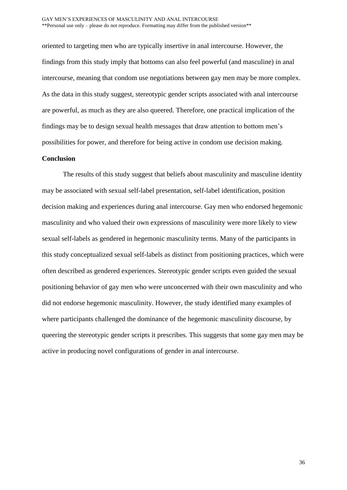oriented to targeting men who are typically insertive in anal intercourse. However, the findings from this study imply that bottoms can also feel powerful (and masculine) in anal intercourse, meaning that condom use negotiations between gay men may be more complex. As the data in this study suggest, stereotypic gender scripts associated with anal intercourse are powerful, as much as they are also queered. Therefore, one practical implication of the findings may be to design sexual health messages that draw attention to bottom men's possibilities for power, and therefore for being active in condom use decision making.

#### **Conclusion**

The results of this study suggest that beliefs about masculinity and masculine identity may be associated with sexual self-label presentation, self-label identification, position decision making and experiences during anal intercourse. Gay men who endorsed hegemonic masculinity and who valued their own expressions of masculinity were more likely to view sexual self-labels as gendered in hegemonic masculinity terms. Many of the participants in this study conceptualized sexual self-labels as distinct from positioning practices, which were often described as gendered experiences. Stereotypic gender scripts even guided the sexual positioning behavior of gay men who were unconcerned with their own masculinity and who did not endorse hegemonic masculinity. However, the study identified many examples of where participants challenged the dominance of the hegemonic masculinity discourse, by queering the stereotypic gender scripts it prescribes. This suggests that some gay men may be active in producing novel configurations of gender in anal intercourse.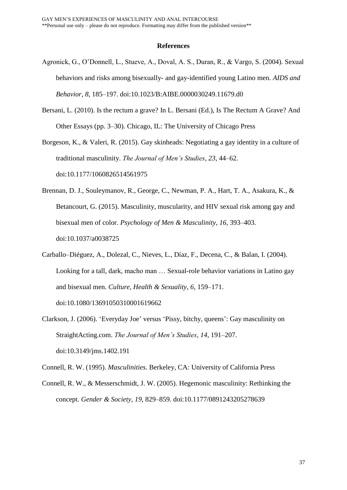#### **References**

- Agronick, G., O'Donnell, L., Stueve, A., Doval, A. S., Duran, R., & Vargo, S. (2004). Sexual behaviors and risks among bisexually- and gay-identified young Latino men. *AIDS and Behavior*, *8*, 185–197. doi:10.1023/B:AIBE.0000030249.11679.d0
- Bersani, L. (2010). Is the rectum a grave? In L. Bersani (Ed.), Is The Rectum A Grave? And Other Essays (pp. 3–30). Chicago, IL: The University of Chicago Press
- Borgeson, K., & Valeri, R. (2015). Gay skinheads: Negotiating a gay identity in a culture of traditional masculinity. *The Journal of Men's Studies*, *23*, 44–62. doi:10.1177/1060826514561975
- Brennan, D. J., Souleymanov, R., George, C., Newman, P. A., Hart, T. A., Asakura, K., & Betancourt, G. (2015). Masculinity, muscularity, and HIV sexual risk among gay and bisexual men of color. *Psychology of Men & Masculinity*, *16*, 393–403. doi:10.1037/a0038725
- Carballo–Diéguez, A., Dolezal, C., Nieves, L., Díaz, F., Decena, C., & Balan, I. (2004). Looking for a tall, dark, macho man … Sexual-role behavior variations in Latino gay and bisexual men. *Culture, Health & Sexuality*, *6*, 159–171. doi:10.1080/13691050310001619662
- Clarkson, J. (2006). 'Everyday Joe' versus 'Pissy, bitchy, queens': Gay masculinity on StraightActing.com. *The Journal of Men's Studies*, *14*, 191–207. doi:10.3149/jms.1402.191
- Connell, R. W. (1995). *Masculinities*. Berkeley, CA: University of California Press
- Connell, R. W., & Messerschmidt, J. W. (2005). Hegemonic masculinity: Rethinking the concept. *Gender & Society*, *19*, 829–859. doi:10.1177/0891243205278639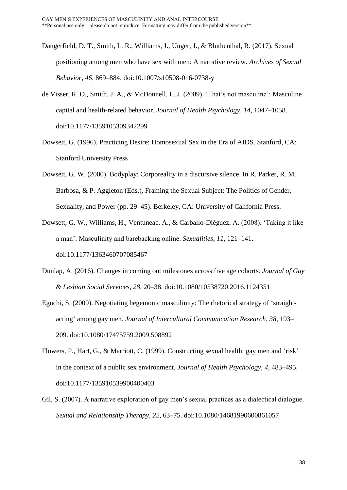- Dangerfield, D. T., Smith, L. R., Williams, J., Unger, J., & Bluthenthal, R. (2017). Sexual positioning among men who have sex with men: A narrative review. *Archives of Sexual Behavior, 46*, 869–884. doi:10.1007/s10508-016-0738-y
- de Visser, R. O., Smith, J. A., & McDonnell, E. J. (2009). 'That's not masculine': Masculine capital and health-related behavior. *Journal of Health Psychology*, *14*, 1047–1058. doi:10.1177/1359105309342299
- Dowsett, G. (1996). Practicing Desire: Homosexual Sex in the Era of AIDS. Stanford, CA: Stanford University Press
- Dowsett, G. W. (2000). Bodyplay: Corporeality in a discursive silence. In R. Parker, R. M. Barbosa, & P. Aggleton (Eds.), Framing the Sexual Subject: The Politics of Gender, Sexuality, and Power (pp. 29–45). Berkeley, CA: University of California Press.
- Dowsett, G. W., Williams, H., Ventuneac, A., & Carballo-Diéguez, A. (2008). 'Taking it like a man': Masculinity and barebacking online. *Sexualities*, *11*, 121–141. doi:10.1177/1363460707085467
- Dunlap, A. (2016). Changes in coming out milestones across five age cohorts. *Journal of Gay & Lesbian Social Services*, *28*, 20–38. doi:10.1080/10538720.2016.1124351
- Eguchi, S. (2009). Negotiating hegemonic masculinity: The rhetorical strategy of 'straightacting' among gay men. *Journal of Intercultural Communication Research*, *38*, 193– 209. doi:10.1080/17475759.2009.508892
- Flowers, P., Hart, G., & Marriott, C. (1999). Constructing sexual health: gay men and 'risk' in the context of a public sex environment. *Journal of Health Psychology*, *4*, 483–495. doi:10.1177/135910539900400403
- Gil, S. (2007). A narrative exploration of gay men's sexual practices as a dialectical dialogue. *Sexual and Relationship Therapy*, *22*, 63–75. doi:10.1080/14681990600861057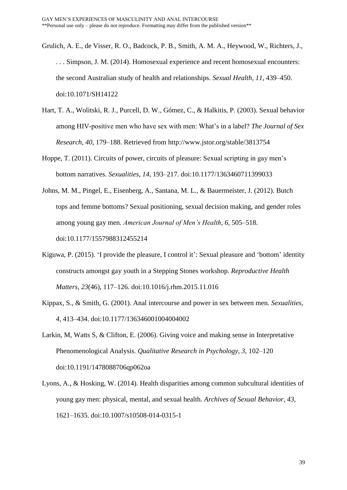- Grulich, A. E., de Visser, R. O., Badcock, P. B., Smith, A. M. A., Heywood, W., Richters, J., . . . Simpson, J. M. (2014). Homosexual experience and recent homosexual encounters: the second Australian study of health and relationships. *Sexual Health, 11*, 439–450. doi:10.1071/SH14122
- Hart, T. A., Wolitski, R. J., Purcell, D. W., Gómez, C., & Halkitis, P. (2003). Sexual behavior among HIV-positive men who have sex with men: What's in a label? *The Journal of Sex Research, 40*, 179–188. Retrieved from http://www.jstor.org/stable/3813754
- Hoppe, T. (2011). Circuits of power, circuits of pleasure: Sexual scripting in gay men's bottom narratives. *Sexualities*, *14*, 193–217. doi:10.1177/1363460711399033
- Johns, M. M., Pingel, E., Eisenberg, A., Santana, M. L., & Bauermeister, J. (2012). Butch tops and femme bottoms? Sexual positioning, sexual decision making, and gender roles among young gay men. *American Journal of Men's Health*, *6*, 505–518. doi:10.1177/1557988312455214
- Kiguwa, P. (2015). 'I provide the pleasure, I control it': Sexual pleasure and 'bottom' identity constructs amongst gay youth in a Stepping Stones workshop. *Reproductive Health Matters*, *23*(46), 117–126. doi:10.1016/j.rhm.2015.11.016
- Kippax, S., & Smith, G. (2001). Anal intercourse and power in sex between men. *Sexualities*, *4*, 413–434. doi:10.1177/136346001004004002
- Larkin, M, Watts S, & Clifton, E. (2006). Giving voice and making sense in Interpretative Phenomenological Analysis. *Qualitative Research in Psychology, 3*, 102–120 doi:10.1191/1478088706qp062oa
- Lyons, A., & Hosking, W. (2014). Health disparities among common subcultural identities of young gay men: physical, mental, and sexual health. *Archives of Sexual Behavior*, *43*, 1621–1635. doi:10.1007/s10508-014-0315-1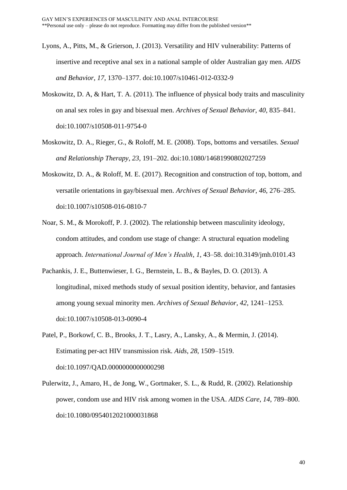- Lyons, A., Pitts, M., & Grierson, J. (2013). Versatility and HIV vulnerability: Patterns of insertive and receptive anal sex in a national sample of older Australian gay men. *AIDS and Behavior*, *17*, 1370–1377. doi:10.1007/s10461-012-0332-9
- Moskowitz, D. A, & Hart, T. A. (2011). The influence of physical body traits and masculinity on anal sex roles in gay and bisexual men. *Archives of Sexual Behavior*, *40*, 835–841. doi:10.1007/s10508-011-9754-0
- Moskowitz, D. A., Rieger, G., & Roloff, M. E. (2008). Tops, bottoms and versatiles. *Sexual and Relationship Therapy*, *23*, 191–202. doi:10.1080/14681990802027259
- Moskowitz, D. A., & Roloff, M. E. (2017). Recognition and construction of top, bottom, and versatile orientations in gay/bisexual men. *Archives of Sexual Behavior*, *46*, 276–285. doi:10.1007/s10508-016-0810-7
- Noar, S. M., & Morokoff, P. J. (2002). The relationship between masculinity ideology, condom attitudes, and condom use stage of change: A structural equation modeling approach. *International Journal of Men's Health*, *1*, 43–58. doi:10.3149/jmh.0101.43
- Pachankis, J. E., Buttenwieser, I. G., Bernstein, L. B., & Bayles, D. O. (2013). A longitudinal, mixed methods study of sexual position identity, behavior, and fantasies among young sexual minority men. *Archives of Sexual Behavior*, *42*, 1241–1253. doi:10.1007/s10508-013-0090-4
- Patel, P., Borkowf, C. B., Brooks, J. T., Lasry, A., Lansky, A., & Mermin, J. (2014). Estimating per-act HIV transmission risk. *Aids*, *28*, 1509–1519. doi:10.1097/QAD.0000000000000298
- Pulerwitz, J., Amaro, H., de Jong, W., Gortmaker, S. L., & Rudd, R. (2002). Relationship power, condom use and HIV risk among women in the USA. *AIDS Care*, *14*, 789–800. doi:10.1080/0954012021000031868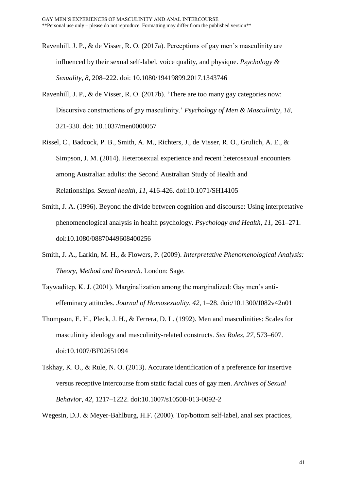- Ravenhill, J. P., & de Visser, R. O. (2017a). Perceptions of gay men's masculinity are influenced by their sexual self-label, voice quality, and physique. *Psychology & Sexuality, 8*, 208–222. doi: 10.1080/19419899.2017.1343746
- Ravenhill, J. P., & de Visser, R. O. (2017b). 'There are too many gay categories now: Discursive constructions of gay masculinity.' *Psychology of Men & Masculinity*, *18*, 321-330. doi: 10.1037/men0000057
- Rissel, C., Badcock, P. B., Smith, A. M., Richters, J., de Visser, R. O., Grulich, A. E., & Simpson, J. M. (2014). Heterosexual experience and recent heterosexual encounters among Australian adults: the Second Australian Study of Health and Relationships. *Sexual health*, *11*, 416-426. doi:10.1071/SH14105
- Smith, J. A. (1996). Beyond the divide between cognition and discourse: Using interpretative phenomenological analysis in health psychology. *Psychology and Health*, *11*, 261–271. doi:10.1080/08870449608400256
- Smith, J. A., Larkin, M. H., & Flowers, P. (2009). *Interpretative Phenomenological Analysis: Theory, Method and Research*. London: Sage.
- Taywaditep, K. J. (2001). Marginalization among the marginalized: Gay men's antieffeminacy attitudes. *Journal of Homosexuality*, *42*, 1–28. doi:/10.1300/J082v42n01
- Thompson, E. H., Pleck, J. H., & Ferrera, D. L. (1992). Men and masculinities: Scales for masculinity ideology and masculinity-related constructs. *Sex Roles*, *27*, 573–607. doi:10.1007/BF02651094
- Tskhay, K. O., & Rule, N. O. (2013). Accurate identification of a preference for insertive versus receptive intercourse from static facial cues of gay men. *Archives of Sexual Behavior*, *42*, 1217–1222. doi:10.1007/s10508-013-0092-2

Wegesin, D.J. & Meyer-Bahlburg, H.F. (2000). Top/bottom self-label, anal sex practices,